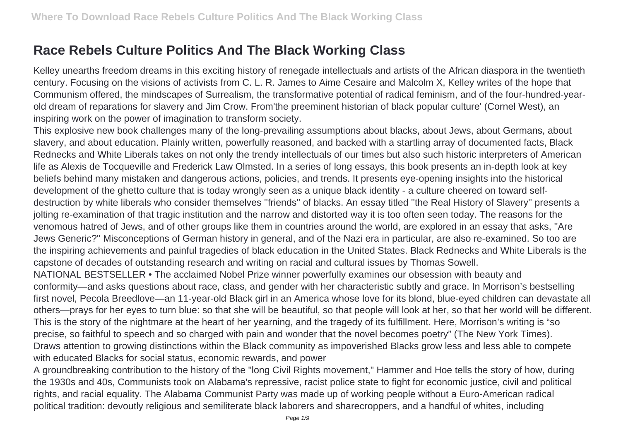## **Race Rebels Culture Politics And The Black Working Class**

Kelley unearths freedom dreams in this exciting history of renegade intellectuals and artists of the African diaspora in the twentieth century. Focusing on the visions of activists from C. L. R. James to Aime Cesaire and Malcolm X, Kelley writes of the hope that Communism offered, the mindscapes of Surrealism, the transformative potential of radical feminism, and of the four-hundred-yearold dream of reparations for slavery and Jim Crow. From'the preeminent historian of black popular culture' (Cornel West), an inspiring work on the power of imagination to transform society.

This explosive new book challenges many of the long-prevailing assumptions about blacks, about Jews, about Germans, about slavery, and about education. Plainly written, powerfully reasoned, and backed with a startling array of documented facts, Black Rednecks and White Liberals takes on not only the trendy intellectuals of our times but also such historic interpreters of American life as Alexis de Tocqueville and Frederick Law Olmsted. In a series of long essays, this book presents an in-depth look at key beliefs behind many mistaken and dangerous actions, policies, and trends. It presents eye-opening insights into the historical development of the ghetto culture that is today wrongly seen as a unique black identity - a culture cheered on toward selfdestruction by white liberals who consider themselves ''friends'' of blacks. An essay titled ''the Real History of Slavery'' presents a jolting re-examination of that tragic institution and the narrow and distorted way it is too often seen today. The reasons for the venomous hatred of Jews, and of other groups like them in countries around the world, are explored in an essay that asks, ''Are Jews Generic?'' Misconceptions of German history in general, and of the Nazi era in particular, are also re-examined. So too are the inspiring achievements and painful tragedies of black education in the United States. Black Rednecks and White Liberals is the capstone of decades of outstanding research and writing on racial and cultural issues by Thomas Sowell. NATIONAL BESTSELLER • The acclaimed Nobel Prize winner powerfully examines our obsession with beauty and

conformity—and asks questions about race, class, and gender with her characteristic subtly and grace. In Morrison's bestselling first novel, Pecola Breedlove—an 11-year-old Black girl in an America whose love for its blond, blue-eyed children can devastate all others—prays for her eyes to turn blue: so that she will be beautiful, so that people will look at her, so that her world will be different. This is the story of the nightmare at the heart of her yearning, and the tragedy of its fulfillment. Here, Morrison's writing is "so precise, so faithful to speech and so charged with pain and wonder that the novel becomes poetry" (The New York Times). Draws attention to growing distinctions within the Black community as impoverished Blacks grow less and less able to compete with educated Blacks for social status, economic rewards, and power

A groundbreaking contribution to the history of the "long Civil Rights movement," Hammer and Hoe tells the story of how, during the 1930s and 40s, Communists took on Alabama's repressive, racist police state to fight for economic justice, civil and political rights, and racial equality. The Alabama Communist Party was made up of working people without a Euro-American radical political tradition: devoutly religious and semiliterate black laborers and sharecroppers, and a handful of whites, including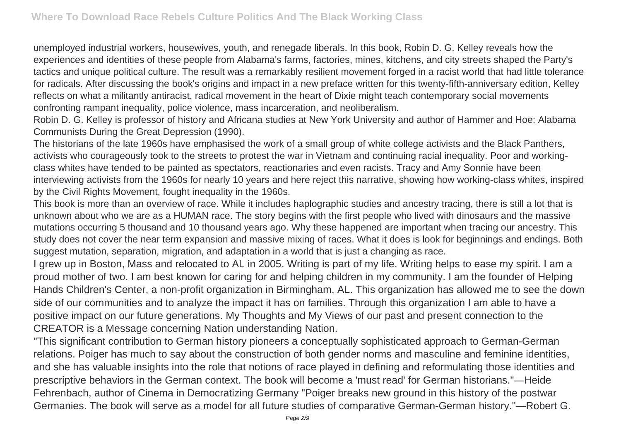unemployed industrial workers, housewives, youth, and renegade liberals. In this book, Robin D. G. Kelley reveals how the experiences and identities of these people from Alabama's farms, factories, mines, kitchens, and city streets shaped the Party's tactics and unique political culture. The result was a remarkably resilient movement forged in a racist world that had little tolerance for radicals. After discussing the book's origins and impact in a new preface written for this twenty-fifth-anniversary edition, Kelley reflects on what a militantly antiracist, radical movement in the heart of Dixie might teach contemporary social movements confronting rampant inequality, police violence, mass incarceration, and neoliberalism.

Robin D. G. Kelley is professor of history and Africana studies at New York University and author of Hammer and Hoe: Alabama Communists During the Great Depression (1990).

The historians of the late 1960s have emphasised the work of a small group of white college activists and the Black Panthers, activists who courageously took to the streets to protest the war in Vietnam and continuing racial inequality. Poor and workingclass whites have tended to be painted as spectators, reactionaries and even racists. Tracy and Amy Sonnie have been interviewing activists from the 1960s for nearly 10 years and here reject this narrative, showing how working-class whites, inspired by the Civil Rights Movement, fought inequality in the 1960s.

This book is more than an overview of race. While it includes haplographic studies and ancestry tracing, there is still a lot that is unknown about who we are as a HUMAN race. The story begins with the first people who lived with dinosaurs and the massive mutations occurring 5 thousand and 10 thousand years ago. Why these happened are important when tracing our ancestry. This study does not cover the near term expansion and massive mixing of races. What it does is look for beginnings and endings. Both suggest mutation, separation, migration, and adaptation in a world that is just a changing as race.

I grew up in Boston, Mass and relocated to AL in 2005. Writing is part of my life. Writing helps to ease my spirit. I am a proud mother of two. I am best known for caring for and helping children in my community. I am the founder of Helping Hands Children's Center, a non-profit organization in Birmingham, AL. This organization has allowed me to see the down side of our communities and to analyze the impact it has on families. Through this organization I am able to have a positive impact on our future generations. My Thoughts and My Views of our past and present connection to the CREATOR is a Message concerning Nation understanding Nation.

"This significant contribution to German history pioneers a conceptually sophisticated approach to German-German relations. Poiger has much to say about the construction of both gender norms and masculine and feminine identities, and she has valuable insights into the role that notions of race played in defining and reformulating those identities and prescriptive behaviors in the German context. The book will become a 'must read' for German historians."—Heide Fehrenbach, author of Cinema in Democratizing Germany "Poiger breaks new ground in this history of the postwar Germanies. The book will serve as a model for all future studies of comparative German-German history."—Robert G.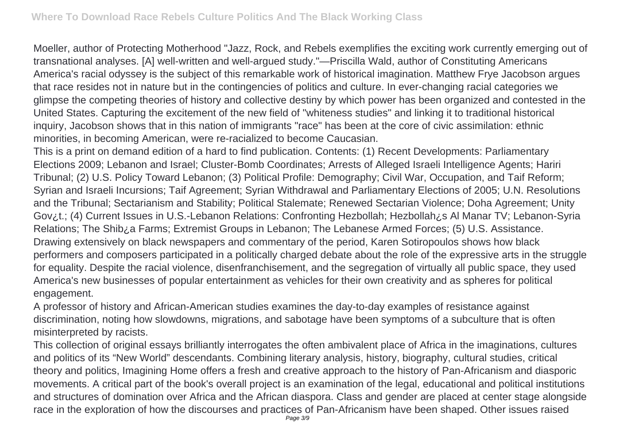Moeller, author of Protecting Motherhood "Jazz, Rock, and Rebels exemplifies the exciting work currently emerging out of transnational analyses. [A] well-written and well-argued study."—Priscilla Wald, author of Constituting Americans America's racial odyssey is the subject of this remarkable work of historical imagination. Matthew Frye Jacobson argues that race resides not in nature but in the contingencies of politics and culture. In ever-changing racial categories we glimpse the competing theories of history and collective destiny by which power has been organized and contested in the United States. Capturing the excitement of the new field of "whiteness studies" and linking it to traditional historical inquiry, Jacobson shows that in this nation of immigrants "race" has been at the core of civic assimilation: ethnic minorities, in becoming American, were re-racialized to become Caucasian.

This is a print on demand edition of a hard to find publication. Contents: (1) Recent Developments: Parliamentary Elections 2009; Lebanon and Israel; Cluster-Bomb Coordinates; Arrests of Alleged Israeli Intelligence Agents; Hariri Tribunal; (2) U.S. Policy Toward Lebanon; (3) Political Profile: Demography; Civil War, Occupation, and Taif Reform; Syrian and Israeli Incursions; Taif Agreement; Syrian Withdrawal and Parliamentary Elections of 2005; U.N. Resolutions and the Tribunal; Sectarianism and Stability; Political Stalemate; Renewed Sectarian Violence; Doha Agreement; Unity Gov¿t.; (4) Current Issues in U.S.-Lebanon Relations: Confronting Hezbollah; Hezbollah¿s Al Manar TV; Lebanon-Syria Relations; The Shib¿a Farms; Extremist Groups in Lebanon; The Lebanese Armed Forces; (5) U.S. Assistance. Drawing extensively on black newspapers and commentary of the period, Karen Sotiropoulos shows how black performers and composers participated in a politically charged debate about the role of the expressive arts in the struggle for equality. Despite the racial violence, disenfranchisement, and the segregation of virtually all public space, they used America's new businesses of popular entertainment as vehicles for their own creativity and as spheres for political engagement.

A professor of history and African-American studies examines the day-to-day examples of resistance against discrimination, noting how slowdowns, migrations, and sabotage have been symptoms of a subculture that is often misinterpreted by racists.

This collection of original essays brilliantly interrogates the often ambivalent place of Africa in the imaginations, cultures and politics of its "New World" descendants. Combining literary analysis, history, biography, cultural studies, critical theory and politics, Imagining Home offers a fresh and creative approach to the history of Pan-Africanism and diasporic movements. A critical part of the book's overall project is an examination of the legal, educational and political institutions and structures of domination over Africa and the African diaspora. Class and gender are placed at center stage alongside race in the exploration of how the discourses and practices of Pan-Africanism have been shaped. Other issues raised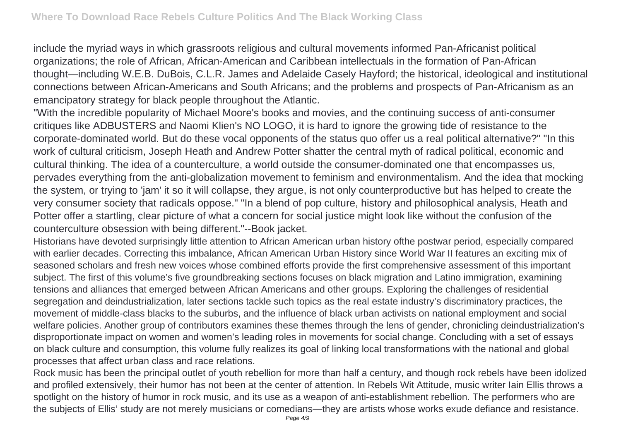include the myriad ways in which grassroots religious and cultural movements informed Pan-Africanist political organizations; the role of African, African-American and Caribbean intellectuals in the formation of Pan-African thought—including W.E.B. DuBois, C.L.R. James and Adelaide Casely Hayford; the historical, ideological and institutional connections between African-Americans and South Africans; and the problems and prospects of Pan-Africanism as an emancipatory strategy for black people throughout the Atlantic.

"With the incredible popularity of Michael Moore's books and movies, and the continuing success of anti-consumer critiques like ADBUSTERS and Naomi Klien's NO LOGO, it is hard to ignore the growing tide of resistance to the corporate-dominated world. But do these vocal opponents of the status quo offer us a real political alternative?" "In this work of cultural criticism, Joseph Heath and Andrew Potter shatter the central myth of radical political, economic and cultural thinking. The idea of a counterculture, a world outside the consumer-dominated one that encompasses us, pervades everything from the anti-globalization movement to feminism and environmentalism. And the idea that mocking the system, or trying to 'jam' it so it will collapse, they argue, is not only counterproductive but has helped to create the very consumer society that radicals oppose." "In a blend of pop culture, history and philosophical analysis, Heath and Potter offer a startling, clear picture of what a concern for social justice might look like without the confusion of the counterculture obsession with being different."--Book jacket.

Historians have devoted surprisingly little attention to African American urban history ofthe postwar period, especially compared with earlier decades. Correcting this imbalance, African American Urban History since World War II features an exciting mix of seasoned scholars and fresh new voices whose combined efforts provide the first comprehensive assessment of this important subject. The first of this volume's five groundbreaking sections focuses on black migration and Latino immigration, examining tensions and alliances that emerged between African Americans and other groups. Exploring the challenges of residential segregation and deindustrialization, later sections tackle such topics as the real estate industry's discriminatory practices, the movement of middle-class blacks to the suburbs, and the influence of black urban activists on national employment and social welfare policies. Another group of contributors examines these themes through the lens of gender, chronicling deindustrialization's disproportionate impact on women and women's leading roles in movements for social change. Concluding with a set of essays on black culture and consumption, this volume fully realizes its goal of linking local transformations with the national and global processes that affect urban class and race relations.

Rock music has been the principal outlet of youth rebellion for more than half a century, and though rock rebels have been idolized and profiled extensively, their humor has not been at the center of attention. In Rebels Wit Attitude, music writer Iain Ellis throws a spotlight on the history of humor in rock music, and its use as a weapon of anti-establishment rebellion. The performers who are the subjects of Ellis' study are not merely musicians or comedians—they are artists whose works exude defiance and resistance.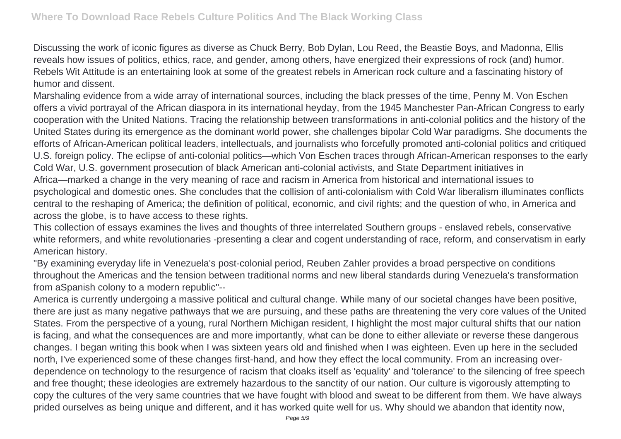Discussing the work of iconic figures as diverse as Chuck Berry, Bob Dylan, Lou Reed, the Beastie Boys, and Madonna, Ellis reveals how issues of politics, ethics, race, and gender, among others, have energized their expressions of rock (and) humor. Rebels Wit Attitude is an entertaining look at some of the greatest rebels in American rock culture and a fascinating history of humor and dissent.

Marshaling evidence from a wide array of international sources, including the black presses of the time, Penny M. Von Eschen offers a vivid portrayal of the African diaspora in its international heyday, from the 1945 Manchester Pan-African Congress to early cooperation with the United Nations. Tracing the relationship between transformations in anti-colonial politics and the history of the United States during its emergence as the dominant world power, she challenges bipolar Cold War paradigms. She documents the efforts of African-American political leaders, intellectuals, and journalists who forcefully promoted anti-colonial politics and critiqued U.S. foreign policy. The eclipse of anti-colonial politics—which Von Eschen traces through African-American responses to the early Cold War, U.S. government prosecution of black American anti-colonial activists, and State Department initiatives in Africa—marked a change in the very meaning of race and racism in America from historical and international issues to psychological and domestic ones. She concludes that the collision of anti-colonialism with Cold War liberalism illuminates conflicts central to the reshaping of America; the definition of political, economic, and civil rights; and the question of who, in America and across the globe, is to have access to these rights.

This collection of essays examines the lives and thoughts of three interrelated Southern groups - enslaved rebels, conservative white reformers, and white revolutionaries -presenting a clear and cogent understanding of race, reform, and conservatism in early American history.

"By examining everyday life in Venezuela's post-colonial period, Reuben Zahler provides a broad perspective on conditions throughout the Americas and the tension between traditional norms and new liberal standards during Venezuela's transformation from aSpanish colony to a modern republic"--

America is currently undergoing a massive political and cultural change. While many of our societal changes have been positive, there are just as many negative pathways that we are pursuing, and these paths are threatening the very core values of the United States. From the perspective of a young, rural Northern Michigan resident, I highlight the most major cultural shifts that our nation is facing, and what the consequences are and more importantly, what can be done to either alleviate or reverse these dangerous changes. I began writing this book when I was sixteen years old and finished when I was eighteen. Even up here in the secluded north, I've experienced some of these changes first-hand, and how they effect the local community. From an increasing overdependence on technology to the resurgence of racism that cloaks itself as 'equality' and 'tolerance' to the silencing of free speech and free thought; these ideologies are extremely hazardous to the sanctity of our nation. Our culture is vigorously attempting to copy the cultures of the very same countries that we have fought with blood and sweat to be different from them. We have always prided ourselves as being unique and different, and it has worked quite well for us. Why should we abandon that identity now,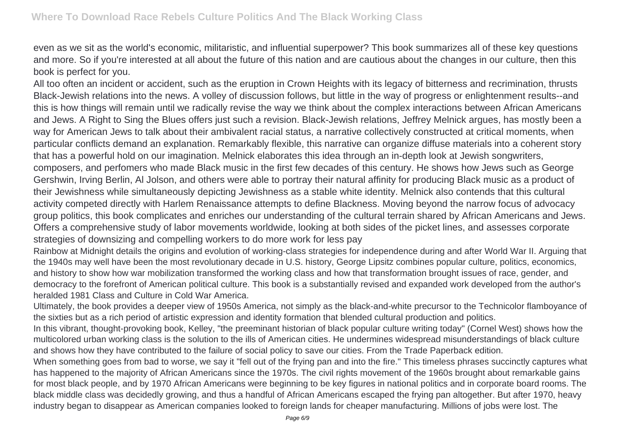even as we sit as the world's economic, militaristic, and influential superpower? This book summarizes all of these key questions and more. So if you're interested at all about the future of this nation and are cautious about the changes in our culture, then this book is perfect for you.

All too often an incident or accident, such as the eruption in Crown Heights with its legacy of bitterness and recrimination, thrusts Black-Jewish relations into the news. A volley of discussion follows, but little in the way of progress or enlightenment results--and this is how things will remain until we radically revise the way we think about the complex interactions between African Americans and Jews. A Right to Sing the Blues offers just such a revision. Black-Jewish relations, Jeffrey Melnick argues, has mostly been a way for American Jews to talk about their ambivalent racial status, a narrative collectively constructed at critical moments, when particular conflicts demand an explanation. Remarkably flexible, this narrative can organize diffuse materials into a coherent story that has a powerful hold on our imagination. Melnick elaborates this idea through an in-depth look at Jewish songwriters, composers, and perfomers who made Black music in the first few decades of this century. He shows how Jews such as George Gershwin, Irving Berlin, Al Jolson, and others were able to portray their natural affinity for producing Black music as a product of their Jewishness while simultaneously depicting Jewishness as a stable white identity. Melnick also contends that this cultural activity competed directly with Harlem Renaissance attempts to define Blackness. Moving beyond the narrow focus of advocacy group politics, this book complicates and enriches our understanding of the cultural terrain shared by African Americans and Jews. Offers a comprehensive study of labor movements worldwide, looking at both sides of the picket lines, and assesses corporate strategies of downsizing and compelling workers to do more work for less pay

Rainbow at Midnight details the origins and evolution of working-class strategies for independence during and after World War II. Arguing that the 1940s may well have been the most revolutionary decade in U.S. history, George Lipsitz combines popular culture, politics, economics, and history to show how war mobilization transformed the working class and how that transformation brought issues of race, gender, and democracy to the forefront of American political culture. This book is a substantially revised and expanded work developed from the author's heralded 1981 Class and Culture in Cold War America.

Ultimately, the book provides a deeper view of 1950s America, not simply as the black-and-white precursor to the Technicolor flamboyance of the sixties but as a rich period of artistic expression and identity formation that blended cultural production and politics.

In this vibrant, thought-provoking book, Kelley, "the preeminant historian of black popular culture writing today" (Cornel West) shows how the multicolored urban working class is the solution to the ills of American cities. He undermines widespread misunderstandings of black culture and shows how they have contributed to the failure of social policy to save our cities. From the Trade Paperback edition.

When something goes from bad to worse, we say it "fell out of the frying pan and into the fire." This timeless phrases succinctly captures what has happened to the majority of African Americans since the 1970s. The civil rights movement of the 1960s brought about remarkable gains for most black people, and by 1970 African Americans were beginning to be key figures in national politics and in corporate board rooms. The black middle class was decidedly growing, and thus a handful of African Americans escaped the frying pan altogether. But after 1970, heavy industry began to disappear as American companies looked to foreign lands for cheaper manufacturing. Millions of jobs were lost. The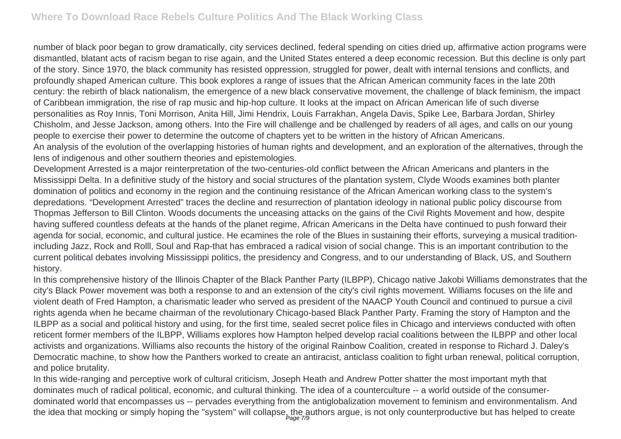number of black poor began to grow dramatically, city services declined, federal spending on cities dried up, affirmative action programs were dismantled, blatant acts of racism began to rise again, and the United States entered a deep economic recession. But this decline is only part of the story. Since 1970, the black community has resisted oppression, struggled for power, dealt with internal tensions and conflicts, and profoundly shaped American culture. This book explores a range of issues that the African American community faces in the late 20th century: the rebirth of black nationalism, the emergence of a new black conservative movement, the challenge of black feminism, the impact of Caribbean immigration, the rise of rap music and hip-hop culture. It looks at the impact on African American life of such diverse personalities as Roy Innis, Toni Morrison, Anita Hill, Jimi Hendrix, Louis Farrakhan, Angela Davis, Spike Lee, Barbara Jordan, Shirley Chisholm, and Jesse Jackson, among others. Into the Fire will challenge and be challenged by readers of all ages, and calls on our young people to exercise their power to determine the outcome of chapters yet to be written in the history of African Americans. An analysis of the evolution of the overlapping histories of human rights and development, and an exploration of the alternatives, through the lens of indigenous and other southern theories and epistemologies.

Development Arrested is a major reinterpretation of the two-centuries-old conflict between the African Americans and planters in the Mississippi Delta. In a definitive study of the history and social structures of the plantation system, Clyde Woods examines both planter domination of politics and economy in the region and the continuing resistance of the African American working class to the system's depredations. "Development Arrested" traces the decline and resurrection of plantation ideology in national public policy discourse from Thopmas Jefferson to Bill Clinton. Woods documents the unceasing attacks on the gains of the Civil Rights Movement and how, despite having suffered countless defeats at the hands of the planet regime, African Americans in the Delta have continued to push forward their agenda for social, economic, and cultural justice. He ecamines the role of the Blues in sustaining their efforts, surveying a musical traditionincluding Jazz, Rock and Rolll, Soul and Rap-that has embraced a radical vision of social change. This is an important contribution to the current political debates involving Mississippi politics, the presidency and Congress, and to our understanding of Black, US, and Southern history.

In this comprehensive history of the Illinois Chapter of the Black Panther Party (ILBPP), Chicago native Jakobi Williams demonstrates that the city's Black Power movement was both a response to and an extension of the city's civil rights movement. Williams focuses on the life and violent death of Fred Hampton, a charismatic leader who served as president of the NAACP Youth Council and continued to pursue a civil rights agenda when he became chairman of the revolutionary Chicago-based Black Panther Party. Framing the story of Hampton and the ILBPP as a social and political history and using, for the first time, sealed secret police files in Chicago and interviews conducted with often reticent former members of the ILBPP, Williams explores how Hampton helped develop racial coalitions between the ILBPP and other local activists and organizations. Williams also recounts the history of the original Rainbow Coalition, created in response to Richard J. Daley's Democratic machine, to show how the Panthers worked to create an antiracist, anticlass coalition to fight urban renewal, political corruption, and police brutality.

In this wide-ranging and perceptive work of cultural criticism, Joseph Heath and Andrew Potter shatter the most important myth that dominates much of radical political, economic, and cultural thinking. The idea of a counterculture -- a world outside of the consumerdominated world that encompasses us -- pervades everything from the antiglobalization movement to feminism and environmentalism. And the idea that mocking or simply hoping the "system" will collapse, the authors argue, is not only counterproductive but has helped to create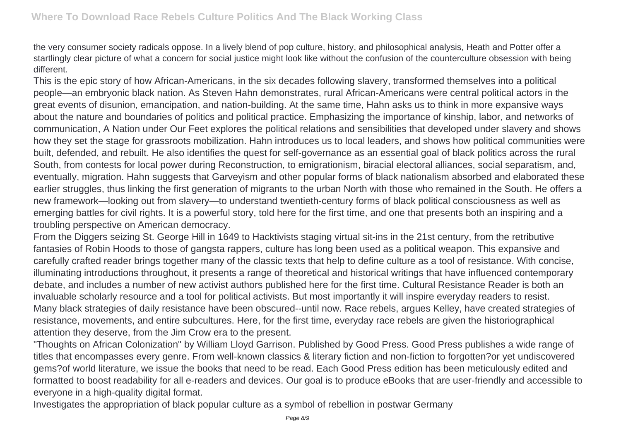the very consumer society radicals oppose. In a lively blend of pop culture, history, and philosophical analysis, Heath and Potter offer a startlingly clear picture of what a concern for social justice might look like without the confusion of the counterculture obsession with being different.

This is the epic story of how African-Americans, in the six decades following slavery, transformed themselves into a political people—an embryonic black nation. As Steven Hahn demonstrates, rural African-Americans were central political actors in the great events of disunion, emancipation, and nation-building. At the same time, Hahn asks us to think in more expansive ways about the nature and boundaries of politics and political practice. Emphasizing the importance of kinship, labor, and networks of communication, A Nation under Our Feet explores the political relations and sensibilities that developed under slavery and shows how they set the stage for grassroots mobilization. Hahn introduces us to local leaders, and shows how political communities were built, defended, and rebuilt. He also identifies the quest for self-governance as an essential goal of black politics across the rural South, from contests for local power during Reconstruction, to emigrationism, biracial electoral alliances, social separatism, and, eventually, migration. Hahn suggests that Garveyism and other popular forms of black nationalism absorbed and elaborated these earlier struggles, thus linking the first generation of migrants to the urban North with those who remained in the South. He offers a new framework—looking out from slavery—to understand twentieth-century forms of black political consciousness as well as emerging battles for civil rights. It is a powerful story, told here for the first time, and one that presents both an inspiring and a troubling perspective on American democracy.

From the Diggers seizing St. George Hill in 1649 to Hacktivists staging virtual sit-ins in the 21st century, from the retributive fantasies of Robin Hoods to those of gangsta rappers, culture has long been used as a political weapon. This expansive and carefully crafted reader brings together many of the classic texts that help to define culture as a tool of resistance. With concise, illuminating introductions throughout, it presents a range of theoretical and historical writings that have influenced contemporary debate, and includes a number of new activist authors published here for the first time. Cultural Resistance Reader is both an invaluable scholarly resource and a tool for political activists. But most importantly it will inspire everyday readers to resist. Many black strategies of daily resistance have been obscured--until now. Race rebels, argues Kelley, have created strategies of resistance, movements, and entire subcultures. Here, for the first time, everyday race rebels are given the historiographical attention they deserve, from the Jim Crow era to the present.

"Thoughts on African Colonization" by William Lloyd Garrison. Published by Good Press. Good Press publishes a wide range of titles that encompasses every genre. From well-known classics & literary fiction and non-fiction to forgotten?or yet undiscovered gems?of world literature, we issue the books that need to be read. Each Good Press edition has been meticulously edited and formatted to boost readability for all e-readers and devices. Our goal is to produce eBooks that are user-friendly and accessible to everyone in a high-quality digital format.

Investigates the appropriation of black popular culture as a symbol of rebellion in postwar Germany